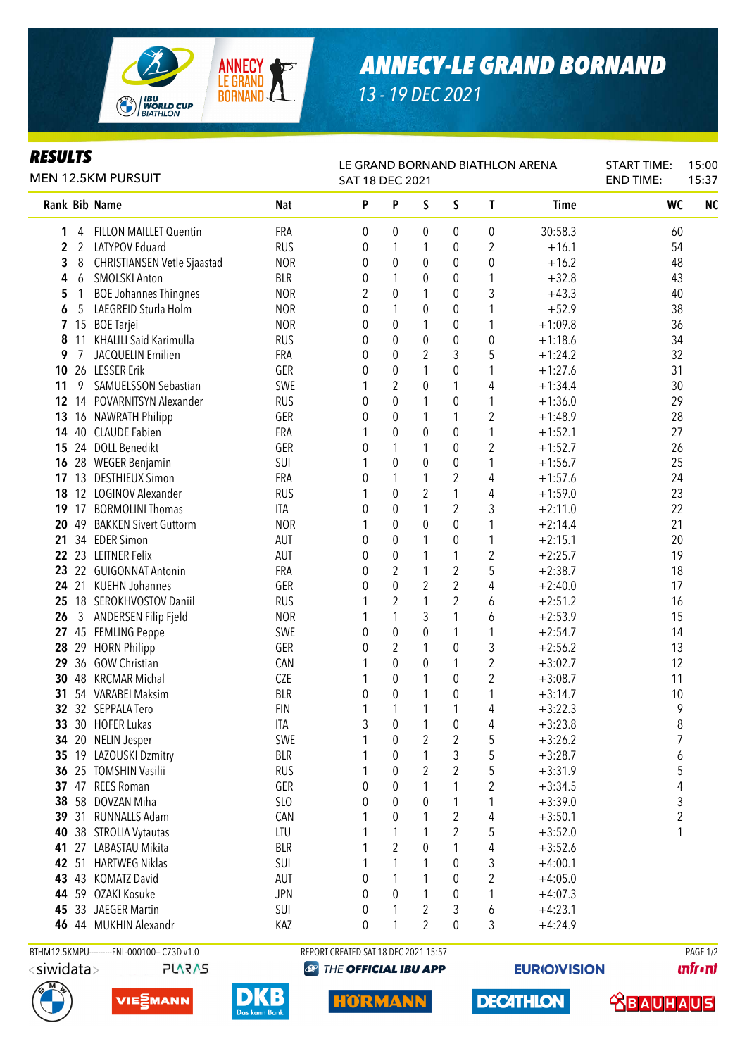

## *ANNECY-LE GRAND BORNAND*

*13 - 19 DEC 2021*

## *RESULTS*

| <i>KESULIS</i><br><b>MEN 12.5KM PURSUIT</b> |                |                                    |            | LE GRAND BORNAND BIATHLON ARENA<br>SAT 18 DEC 2021 |                  | <b>START TIME:</b><br><b>END TIME:</b> | 15:00<br>15:37   |                  |             |           |           |
|---------------------------------------------|----------------|------------------------------------|------------|----------------------------------------------------|------------------|----------------------------------------|------------------|------------------|-------------|-----------|-----------|
|                                             |                | Rank Bib Name                      | <b>Nat</b> | P                                                  | P                | S                                      | S                | T                | <b>Time</b> | <b>WC</b> | <b>NC</b> |
| 1                                           | 4              | <b>FILLON MAILLET Quentin</b>      | <b>FRA</b> | 0                                                  | 0                | 0                                      | 0                | 0                | 30:58.3     | 60        |           |
| 2                                           | $\overline{2}$ | LATYPOV Eduard                     | <b>RUS</b> | 0                                                  | 1                | 1                                      | 0                | 2                | $+16.1$     | 54        |           |
| 3                                           | 8              | <b>CHRISTIANSEN Vetle Sjaastad</b> | <b>NOR</b> | 0                                                  | $\boldsymbol{0}$ | $\pmb{0}$                              | $\pmb{0}$        | 0                | $+16.2$     | 48        |           |
| 4                                           | 6              | <b>SMOLSKI Anton</b>               | <b>BLR</b> | 0                                                  | 1                | 0                                      | 0                | 1                | $+32.8$     | 43        |           |
| 5                                           |                | <b>BOE Johannes Thingnes</b>       | <b>NOR</b> | 2                                                  | 0                | 1                                      | $\pmb{0}$        | 3                | $+43.3$     | 40        |           |
| 6                                           | 5              | LAEGREID Sturla Holm               | <b>NOR</b> | 0                                                  | 1                | 0                                      | $\pmb{0}$        | 1                | $+52.9$     | 38        |           |
| 7                                           | 15             | <b>BOE</b> Tarjei                  | <b>NOR</b> | 0                                                  | 0                | 1                                      | $\pmb{0}$        | 1                | $+1:09.8$   | 36        |           |
| 8                                           | 11             | KHALILI Said Karimulla             | <b>RUS</b> | 0                                                  | 0                | 0                                      | $\pmb{0}$        | 0                | $+1:18.6$   | 34        |           |
| 9                                           | 7              | JACQUELIN Emilien                  | FRA        | 0                                                  | 0                | 2                                      | 3                | 5                | $+1:24.2$   | 32        |           |
| 10                                          |                | 26 LESSER Erik                     | GER        | 0                                                  | $\mathbf 0$      | 1                                      | 0                | 1                | $+1:27.6$   | 31        |           |
| 11                                          | 9              | SAMUELSSON Sebastian               | SWE        | 1                                                  | $\overline{2}$   | 0                                      | 1                | 4                | $+1:34.4$   | 30        |           |
| 12                                          | 14             | POVARNITSYN Alexander              | <b>RUS</b> | 0                                                  | 0                | 1                                      | 0                | 1                | $+1:36.0$   | 29        |           |
| 13                                          |                | 16 NAWRATH Philipp                 | GER        | 0                                                  | $\boldsymbol{0}$ | 1                                      | 1                | $\overline{2}$   | $+1:48.9$   | 28        |           |
| 14                                          |                | 40 CLAUDE Fabien                   | FRA        | 1                                                  | $\boldsymbol{0}$ | $\boldsymbol{0}$                       | $\pmb{0}$        | $\mathbf 1$      | $+1:52.1$   | 27        |           |
| 15                                          |                | 24 DOLL Benedikt                   | GER        | 0                                                  | 1                | 1                                      | $\boldsymbol{0}$ | $\overline{2}$   | $+1:52.7$   | 26        |           |
| 16                                          |                | 28 WEGER Benjamin                  | SUI        | 1                                                  | $\boldsymbol{0}$ | 0                                      | $\boldsymbol{0}$ | 1                | $+1:56.7$   | 25        |           |
| 17                                          | 13             | <b>DESTHIEUX Simon</b>             | <b>FRA</b> | 0                                                  | 1                | 1                                      | $\overline{2}$   | 4                | $+1:57.6$   | 24        |           |
| 18                                          |                | 12 LOGINOV Alexander               | <b>RUS</b> |                                                    | $\boldsymbol{0}$ | 2                                      | $\mathbf{1}$     | 4                | $+1:59.0$   | 23        |           |
| 19                                          | 17             | <b>BORMOLINI Thomas</b>            | <b>ITA</b> | 0                                                  | $\boldsymbol{0}$ | $\mathbf{1}$                           | $\overline{2}$   | 3                | $+2:11.0$   | 22        |           |
| 20                                          | 49             | <b>BAKKEN Sivert Guttorm</b>       | <b>NOR</b> | 1                                                  | $\mathbf 0$      | $\pmb{0}$                              | $\mathbf 0$      | 1                | $+2:14.4$   | 21        |           |
| 21                                          |                | 34 EDER Simon                      | AUT        | 0                                                  | $\mathbf 0$      | 1                                      | 0                | 1                | $+2:15.1$   | 20        |           |
| 22                                          |                | 23 LEITNER Felix                   | AUT        | 0                                                  | $\boldsymbol{0}$ | 1                                      | 1                | $\overline{2}$   | $+2:25.7$   | 19        |           |
| 23                                          |                | 22 GUIGONNAT Antonin               | FRA        | 0                                                  | 2                | $\mathbf{1}$                           | $\sqrt{2}$       | 5                | $+2:38.7$   | 18        |           |
| 24                                          | 21             | <b>KUEHN Johannes</b>              | GER        | 0                                                  | $\mathbf 0$      | $\overline{2}$                         | $\overline{2}$   | 4                | $+2:40.0$   | 17        |           |
| 25                                          |                | 18 SEROKHVOSTOV Daniil             | <b>RUS</b> |                                                    | $\overline{2}$   | 1                                      | $\overline{2}$   | 6                | $+2:51.2$   | 16        |           |
| 26                                          | 3              | ANDERSEN Filip Fjeld               | <b>NOR</b> |                                                    | 1                | 3                                      | 1                | 6                | $+2:53.9$   | 15        |           |
|                                             |                | 27 45 FEMLING Peppe                | SWE        | 0                                                  | $\boldsymbol{0}$ | 0                                      | 1                | 1                | $+2:54.7$   | 14        |           |
| 28                                          |                | 29 HORN Philipp                    | GER        | 0                                                  | $\overline{2}$   | 1                                      | 0                | 3                | $+2:56.2$   | 13        |           |
| 29                                          |                | 36 GOW Christian                   | CAN        |                                                    | 0                | 0                                      | 1                | $\boldsymbol{2}$ | $+3:02.7$   | 12        |           |
| 30                                          |                | 48 KRCMAR Michal                   | <b>CZE</b> | 1                                                  | 0                | 1                                      | $\pmb{0}$        | $\overline{c}$   | $+3:08.7$   | 11        |           |
| 31                                          |                | 54 VARABEI Maksim                  | <b>BLR</b> | 0                                                  | 0                | 1                                      | $\pmb{0}$        | 1                | $+3:14.7$   | 10        |           |
| 32 <sub>2</sub>                             |                | 32 SEPPALA Tero                    | <b>FIN</b> | 1                                                  | 1                | 1                                      | 1                | 4                | $+3:22.3$   | 9         |           |
| 33                                          |                | 30 HOFER Lukas                     | ITA        | 3                                                  | 0                | 1                                      | $\pmb{0}$        | 4                | $+3:23.8$   | 8         |           |
| 34                                          |                | 20 NELIN Jesper                    | SWE        |                                                    | 0                | 2                                      | $\sqrt{2}$       | 5                | $+3:26.2$   | 7         |           |
| 35                                          |                | 19 LAZOUSKI Dzmitry                | <b>BLR</b> | 1                                                  | 0                | 1                                      | 3                | 5                | $+3:28.7$   | 6         |           |
|                                             |                | 36 25 TOMSHIN Vasilii              | <b>RUS</b> | 1                                                  | 0                | 2                                      | $\overline{2}$   | 5                | $+3:31.9$   | 5         |           |
|                                             |                | 37 47 REES Roman                   | GER        | 0                                                  | 0                | 1                                      | 1                | 2                | $+3:34.5$   | 4         |           |
| 38                                          |                | 58 DOVZAN Miha                     | SLO        | 0                                                  | 0                | 0                                      | 1                | 1                | $+3:39.0$   | 3         |           |
| 39                                          |                | 31 RUNNALLS Adam                   | CAN        |                                                    | 0                |                                        | $\overline{2}$   | 4                | $+3:50.1$   | 2         |           |
| 40                                          |                | 38 STROLIA Vytautas                | LTU        |                                                    | 1                | 1                                      | $\overline{2}$   | 5                | $+3:52.0$   | 1         |           |
| 41                                          | 27             | LABASTAU Mikita                    | <b>BLR</b> |                                                    | $\overline{2}$   | 0                                      | 1                | 4                | $+3:52.6$   |           |           |
| 42                                          |                | 51 HARTWEG Niklas                  | SUI        | 1                                                  | 1                | 1                                      | $\pmb{0}$        | 3                | $+4:00.1$   |           |           |
| 43                                          |                | 43 KOMATZ David                    | AUT        | 0                                                  | 1                | 1                                      | 0                | $\boldsymbol{2}$ | $+4:05.0$   |           |           |
| 44                                          |                | 59 OZAKI Kosuke                    | <b>JPN</b> | 0                                                  | 0                | 1                                      | 0                | 1                | $+4:07.3$   |           |           |
| 45                                          |                | 33 JAEGER Martin                   | SUI        | 0                                                  | 1                | 2                                      | $\sqrt{3}$       | 6                | $+4:23.1$   |           |           |
|                                             |                | 46 44 MUKHIN Alexandr              | KAZ        | 0                                                  |                  | 2                                      | $\mathbf 0$      | 3                | $+4:24.9$   |           |           |
|                                             |                |                                    |            |                                                    |                  |                                        |                  |                  |             |           |           |

<siwidata>





DI

BTHM12.5KMPU---------FNL-000100-- C73D v1.0 REPORT CREATED SAT 18 DEC 2021 15:57 RAGE 1/2

**@ THE OFFICIAL IBU APP** 

**EURIO)VISION** 

**unfront**